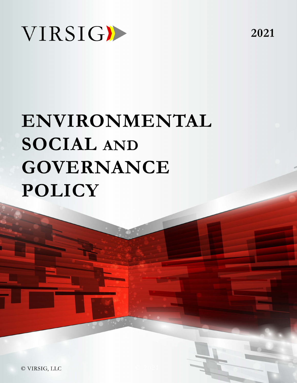

# ENVIRONMENTAL **SOCIAL AND GOVERNANCE POLICY**

© VIRSIG, LLC

2021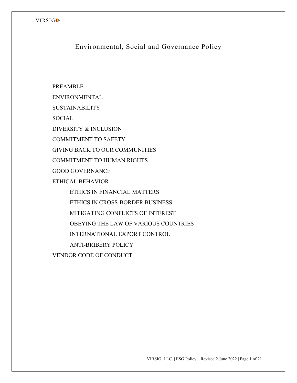Environmental, Social and Governance Policy

PREAMBLE ENVIRONMENTAL SUSTAINABILITY **SOCIAL** DIVERSITY & INCLUSION COMMITMENT TO SAFETY GIVING BACK TO OUR COMMUNITIES COMMITMENT TO HUMAN RIGHTS GOOD GOVERNANCE ETHICAL BEHAVIOR ETHICS IN FINANCIAL MATTERS ETHICS IN CROSS-BORDER BUSINESS MITIGATING CONFLICTS OF INTEREST OBEYING THE LAW OF VARIOUS COUNTRIES INTERNATIONAL EXPORT CONTROL ANTI-BRIBERY POLICY VENDOR CODE OF CONDUCT

VIRSIG, LLC. | ESG Policy | Revised 2 June 2022 | Page 1 of 21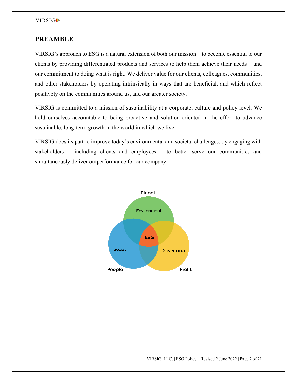## **PREAMBLE**

VIRSIG's approach to ESG is a natural extension of both our mission – to become essential to our clients by providing differentiated products and services to help them achieve their needs – and our commitment to doing what is right. We deliver value for our clients, colleagues, communities, and other stakeholders by operating intrinsically in ways that are beneficial, and which reflect positively on the communities around us, and our greater society.

VIRSIG is committed to a mission of sustainability at a corporate, culture and policy level. We hold ourselves accountable to being proactive and solution-oriented in the effort to advance sustainable, long-term growth in the world in which we live.

VIRSIG does its part to improve today's environmental and societal challenges, by engaging with stakeholders – including clients and employees – to better serve our communities and simultaneously deliver outperformance for our company.

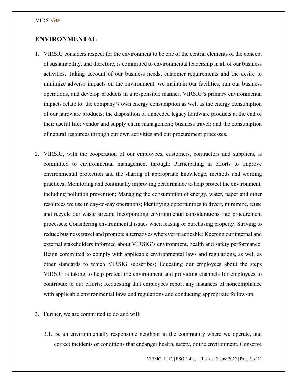# **ENVIRONMENTAL**

- 1. VIRSIG considers respect for the environment to be one of the central elements of the concept of sustainability, and therefore, is committed to environmental leadership in all of our business activities. Taking account of our business needs, customer requirements and the desire to minimize adverse impacts on the environment, we maintain our facilities, run our business operations, and develop products in a responsible manner. VIRSIG's primary environmental impacts relate to: the company's own energy consumption as well as the energy consumption of our hardware products; the disposition of unneeded legacy hardware products at the end of their useful life; vendor and supply chain management; business travel; and the consumption of natural resources through our own activities and our procurement processes.
- 2. VIRSIG, with the cooperation of our employees, customers, contractors and suppliers, is committed to environmental management through: Participating in efforts to improve environmental protection and the sharing of appropriate knowledge, methods and working practices; Monitoring and continually improving performance to help protect the environment, including pollution prevention; Managing the consumption of energy, water, paper and other resources we use in day-to-day operations; Identifying opportunities to divert, minimize, reuse and recycle our waste stream; Incorporating environmental considerations into procurement processes; Considering environmental issues when leasing or purchasing property; Striving to reduce business travel and promote alternatives wherever practicable; Keeping our internal and external stakeholders informed about VIRSIG's environment, health and safety performance; Being committed to comply with applicable environmental laws and regulations, as well as other standards to which VIRSIG subscribes; Educating our employees about the steps VIRSIG is taking to help protect the environment and providing channels for employees to contribute to our efforts; Requesting that employees report any instances of noncompliance with applicable environmental laws and regulations and conducting appropriate follow-up.
- 3. Further, we are committed to do and will:
	- 3.1. Be an environmentally responsible neighbor in the community where we operate, and correct incidents or conditions that endanger health, safety, or the environment. Conserve

VIRSIG, LLC. | ESG Policy | Revised 2 June 2022 | Page 3 of 21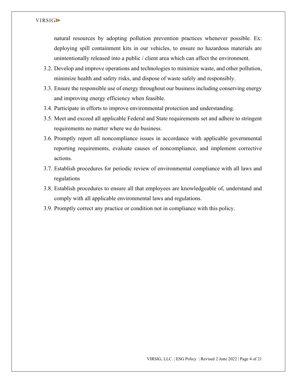natural resources by adopting pollution prevention practices whenever possible. Ex: deploying spill containment kits in our vehicles, to ensure no hazardous materials are unintentionally released into a public / client area which can affect the environment.

- 3.2. Develop and improve operations and technologies to minimize waste, and other pollution, minimize health and safety risks, and dispose of waste safely and responsibly.
- 3.3. Ensure the responsible use of energy throughout our business including conserving energy and improving energy efficiency when feasible.
- 3.4. Participate in efforts to improve environmental protection and understanding.
- 3.5. Meet and exceed all applicable Federal and State requirements set and adhere to stringent requirements no matter where we do business.
- 3.6. Promptly report all noncompliance issues in accordance with applicable governmental reporting requirements, evaluate causes of noncompliance, and implement corrective actions.
- 3.7. Establish procedures for periodic review of environmental compliance with all laws and regulations
- 3.8. Establish procedures to ensure all that employees are knowledgeable of, understand and comply with all applicable environmental laws and regulations.
- 3.9. Promptly correct any practice or condition not in compliance with this policy.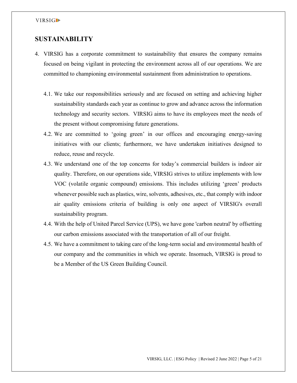## **SUSTAINABILITY**

- 4. VIRSIG has a corporate commitment to sustainability that ensures the company remains focused on being vigilant in protecting the environment across all of our operations. We are committed to championing environmental sustainment from administration to operations.
	- 4.1. We take our responsibilities seriously and are focused on setting and achieving higher sustainability standards each year as continue to grow and advance across the information technology and security sectors. VIRSIG aims to have its employees meet the needs of the present without compromising future generations.
	- 4.2. We are committed to 'going green' in our offices and encouraging energy-saving initiatives with our clients; furthermore, we have undertaken initiatives designed to reduce, reuse and recycle.
	- 4.3. We understand one of the top concerns for today's commercial builders is indoor air quality. Therefore, on our operations side, VIRSIG strives to utilize implements with low VOC (volatile organic compound) emissions. This includes utilizing 'green' products whenever possible such as plastics, wire, solvents, adhesives, etc., that comply with indoor air quality emissions criteria of building is only one aspect of VIRSIG's overall sustainability program.
	- 4.4. With the help of United Parcel Service (UPS), we have gone 'carbon neutral' by offsetting our carbon emissions associated with the transportation of all of our freight.
	- 4.5. We have a commitment to taking care of the long-term social and environmental health of our company and the communities in which we operate. Insomuch, VIRSIG is proud to be a Member of the US Green Building Council.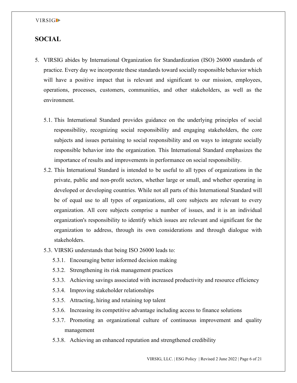# **SOCIAL**

- 5. VIRSIG abides by International Organization for Standardization (ISO) 26000 standards of practice. Every day we incorporate these standards toward socially responsible behavior which will have a positive impact that is relevant and significant to our mission, employees, operations, processes, customers, communities, and other stakeholders, as well as the environment.
	- 5.1. This International Standard provides guidance on the underlying principles of social responsibility, recognizing social responsibility and engaging stakeholders, the core subjects and issues pertaining to social responsibility and on ways to integrate socially responsible behavior into the organization. This International Standard emphasizes the importance of results and improvements in performance on social responsibility.
	- 5.2. This International Standard is intended to be useful to all types of organizations in the private, public and non-profit sectors, whether large or small, and whether operating in developed or developing countries. While not all parts of this International Standard will be of equal use to all types of organizations, all core subjects are relevant to every organization. All core subjects comprise a number of issues, and it is an individual organization's responsibility to identify which issues are relevant and significant for the organization to address, through its own considerations and through dialogue with stakeholders.
	- 5.3. VIRSIG understands that being ISO 26000 leads to:
		- 5.3.1. Encouraging better informed decision making
		- 5.3.2. Strengthening its risk management practices
		- 5.3.3. Achieving savings associated with increased productivity and resource efficiency
		- 5.3.4. Improving stakeholder relationships
		- 5.3.5. Attracting, hiring and retaining top talent
		- 5.3.6. Increasing its competitive advantage including access to finance solutions
		- 5.3.7. Promoting an organizational culture of continuous improvement and quality management
		- 5.3.8. Achieving an enhanced reputation and strengthened credibility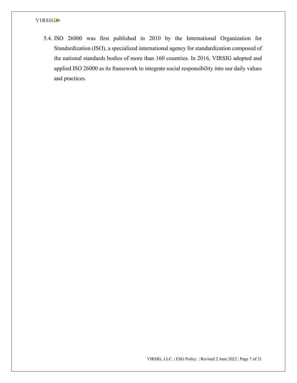5.4. ISO 26000 was first published in 2010 by the International Organization for Standardization (ISO), a specialized international agency for standardization composed of the national standards bodies of more than 160 countries. In 2016, VIRSIG adopted and applied ISO 26000 as its framework to integrate social responsibility into our daily values and practices.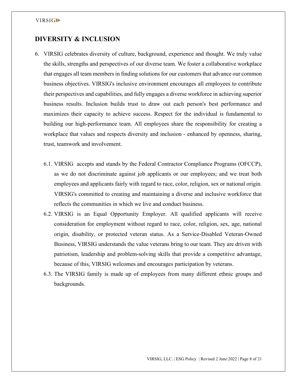# **DIVERSITY & INCLUSION**

- 6. VIRSIG celebrates diversity of culture, background, experience and thought. We truly value the skills, strengths and perspectives of our diverse team. We foster a collaborative workplace that engages all team members in finding solutions for our customers that advance our common business objectives. VIRSIG's inclusive environment encourages all employees to contribute their perspectives and capabilities, and fully engages a diverse workforce in achieving superior business results. Inclusion builds trust to draw out each person's best performance and maximizes their capacity to achieve success. Respect for the individual is fundamental to building our high-performance team. All employees share the responsibility for creating a workplace that values and respects diversity and inclusion - enhanced by openness, sharing, trust, teamwork and involvement.
	- 6.1. VIRSIG accepts and stands by the Federal Contractor Compliance Programs (OFCCP), as we do not discriminate against job applicants or our employees; and we treat both employees and applicants fairly with regard to race, color, religion, sex or national origin. VIRSIG's committed to creating and maintaining a diverse and inclusive workforce that reflects the communities in which we live and conduct business.
	- 6.2. VIRSIG is an Equal Opportunity Employer. All qualified applicants will receive consideration for employment without regard to race, color, religion, sex, age, national origin, disability, or protected veteran status. As a Service-Disabled Veteran-Owned Business, VIRSIG understands the value veterans bring to our team. They are driven with patriotism, leadership and problem-solving skills that provide a competitive advantage, because of this, VIRSIG welcomes and encourages participation by veterans.
	- 6.3. The VIRSIG family is made up of employees from many different ethnic groups and backgrounds.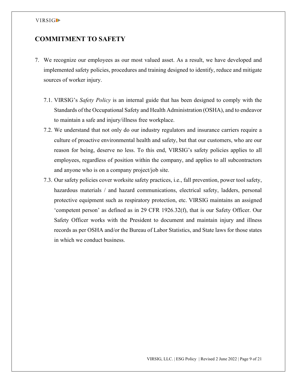# **COMMITMENT TO SAFETY**

- 7. We recognize our employees as our most valued asset. As a result, we have developed and implemented safety policies, procedures and training designed to identify, reduce and mitigate sources of worker injury.
	- 7.1. VIRSIG's *Safety Policy* is an internal guide that has been designed to comply with the Standards of the Occupational Safety and Health Administration (OSHA), and to endeavor to maintain a safe and injury/illness free workplace.
	- 7.2. We understand that not only do our industry regulators and insurance carriers require a culture of proactive environmental health and safety, but that our customers, who are our reason for being, deserve no less. To this end, VIRSIG's safety policies applies to all employees, regardless of position within the company, and applies to all subcontractors and anyone who is on a company project/job site.
	- 7.3. Our safety policies cover worksite safety practices, i.e., fall prevention, power tool safety, hazardous materials / and hazard communications, electrical safety, ladders, personal protective equipment such as respiratory protection, etc. VIRSIG maintains an assigned 'competent person' as defined as in 29 CFR 1926.32(f), that is our Safety Officer. Our Safety Officer works with the President to document and maintain injury and illness records as per OSHA and/or the Bureau of Labor Statistics, and State laws for those states in which we conduct business.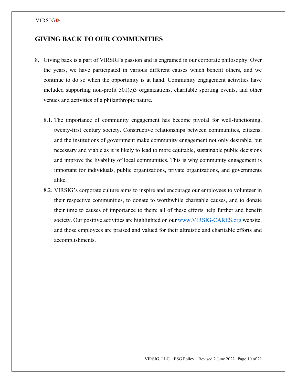# **GIVING BACK TO OUR COMMUNITIES**

- 8. Giving back is a part of VIRSIG's passion and is engrained in our corporate philosophy. Over the years, we have participated in various different causes which benefit others, and we continue to do so when the opportunity is at hand. Community engagement activities have included supporting non-profit 501(c)3 organizations, charitable sporting events, and other venues and activities of a philanthropic nature.
	- 8.1. The importance of community engagement has become pivotal for well-functioning, twenty-first century society. Constructive relationships between communities, citizens, and the institutions of government make community engagement not only desirable, but necessary and viable as it is likely to lead to more equitable, sustainable public decisions and improve the livability of local communities. This is why community engagement is important for individuals, public organizations, private organizations, and governments alike.
	- 8.2. VIRSIG's corporate culture aims to inspire and encourage our employees to volunteer in their respective communities, to donate to worthwhile charitable causes, and to donate their time to causes of importance to them; all of these efforts help further and benefit society. Our positive activities are highlighted on our [www.VIRSIG-CARES.org](http://www.virsig-cares.org/) website, and those employees are praised and valued for their altruistic and charitable efforts and accomplishments.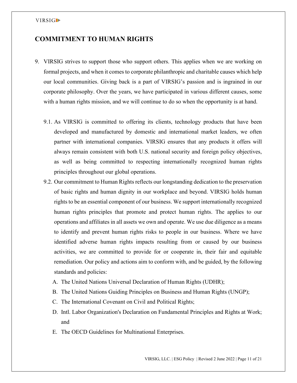# **COMMITMENT TO HUMAN RIGHTS**

- 9. VIRSIG strives to support those who support others. This applies when we are working on formal projects, and when it comes to corporate philanthropic and charitable causes which help our local communities. Giving back is a part of VIRSIG's passion and is ingrained in our corporate philosophy. Over the years, we have participated in various different causes, some with a human rights mission, and we will continue to do so when the opportunity is at hand.
	- 9.1. As VIRSIG is committed to offering its clients, technology products that have been developed and manufactured by domestic and international market leaders, we often partner with international companies. VIRSIG ensures that any products it offers will always remain consistent with both U.S. national security and foreign policy objectives, as well as being committed to respecting internationally recognized human rights principles throughout our global operations.
	- 9.2. Our commitment to Human Rights reflects our longstanding dedication to the preservation of basic rights and human dignity in our workplace and beyond. VIRSIG holds human rights to be an essential component of our business. We support internationally recognized human rights principles that promote and protect human rights. The applies to our operations and affiliates in all assets we own and operate. We use due diligence as a means to identify and prevent human rights risks to people in our business. Where we have identified adverse human rights impacts resulting from or caused by our business activities, we are committed to provide for or cooperate in, their fair and equitable remediation. Our policy and actions aim to conform with, and be guided, by the following standards and policies:
		- A. The United Nations Universal Declaration of Human Rights (UDHR);
		- B. The United Nations Guiding Principles on Business and Human Rights (UNGP);
		- C. The International Covenant on Civil and Political Rights;
		- D. Intl. Labor Organization's Declaration on Fundamental Principles and Rights at Work; and
		- E. The OECD Guidelines for Multinational Enterprises.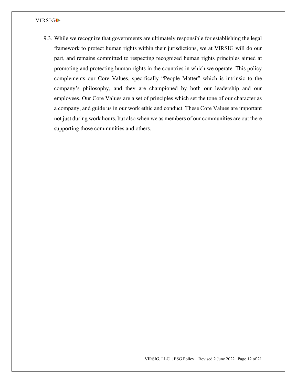9.3. While we recognize that governments are ultimately responsible for establishing the legal framework to protect human rights within their jurisdictions, we at VIRSIG will do our part, and remains committed to respecting recognized human rights principles aimed at promoting and protecting human rights in the countries in which we operate. This policy complements our Core Values, specifically "People Matter" which is intrinsic to the company's philosophy, and they are championed by both our leadership and our employees. Our Core Values are a set of principles which set the tone of our character as a company, and guide us in our work ethic and conduct. These Core Values are important not just during work hours, but also when we as members of our communities are out there supporting those communities and others.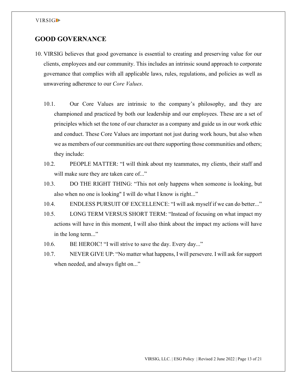# **GOOD GOVERNANCE**

- 10. VIRSIG believes that good governance is essential to creating and preserving value for our clients, employees and our community. This includes an intrinsic sound approach to corporate governance that complies with all applicable laws, rules, regulations, and policies as well as unwavering adherence to our *Core Values*.
	- 10.1. Our Core Values are intrinsic to the company's philosophy, and they are championed and practiced by both our leadership and our employees. These are a set of principles which set the tone of our character as a company and guide us in our work ethic and conduct. These Core Values are important not just during work hours, but also when we as members of our communities are out there supporting those communities and others; they include:
	- 10.2. PEOPLE MATTER: "I will think about my teammates, my clients, their staff and will make sure they are taken care of..."
	- 10.3. DO THE RIGHT THING: "This not only happens when someone is looking, but also when no one is looking" I will do what I know is right..."
	- 10.4. ENDLESS PURSUIT OF EXCELLENCE: "I will ask myself if we can do better..."
	- 10.5. LONG TERM VERSUS SHORT TERM: "Instead of focusing on what impact my actions will have in this moment, I will also think about the impact my actions will have in the long term..."
	- 10.6. BE HEROIC! "I will strive to save the day. Every day..."
	- 10.7. NEVER GIVE UP: "No matter what happens, I will persevere. I will ask for support when needed, and always fight on..."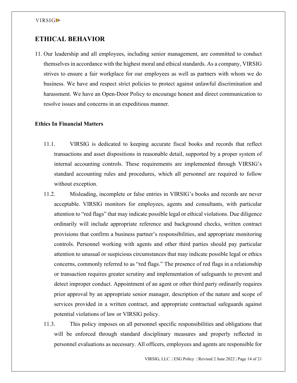# **ETHICAL BEHAVIOR**

11. Our leadership and all employees, including senior management, are committed to conduct themselves in accordance with the highest moral and ethical standards. As a company, VIRSIG strives to ensure a fair workplace for our employees as well as partners with whom we do business. We have and respect strict policies to protect against unlawful discrimination and harassment. We have an Open-Door Policy to encourage honest and direct communication to resolve issues and concerns in an expeditious manner.

## **Ethics In Financial Matters**

- 11.1. VIRSIG is dedicated to keeping accurate fiscal books and records that reflect transactions and asset dispositions in reasonable detail, supported by a proper system of internal accounting controls. These requirements are implemented through VIRSIG's standard accounting rules and procedures, which all personnel are required to follow without exception.
- 11.2. Misleading, incomplete or false entries in VIRSIG's books and records are never acceptable. VIRSIG monitors for employees, agents and consultants, with particular attention to "red flags" that may indicate possible legal or ethical violations. Due diligence ordinarily will include appropriate reference and background checks, written contract provisions that confirm a business partner's responsibilities, and appropriate monitoring controls. Personnel working with agents and other third parties should pay particular attention to unusual or suspicious circumstances that may indicate possible legal or ethics concerns, commonly referred to as "red flags." The presence of red flags in a relationship or transaction requires greater scrutiny and implementation of safeguards to prevent and detect improper conduct. Appointment of an agent or other third party ordinarily requires prior approval by an appropriate senior manager, description of the nature and scope of services provided in a written contract, and appropriate contractual safeguards against potential violations of law or VIRSIG policy.
- 11.3. This policy imposes on all personnel specific responsibilities and obligations that will be enforced through standard disciplinary measures and properly reflected in personnel evaluations as necessary. All officers, employees and agents are responsible for

VIRSIG, LLC. | ESG Policy | Revised 2 June 2022 | Page 14 of 21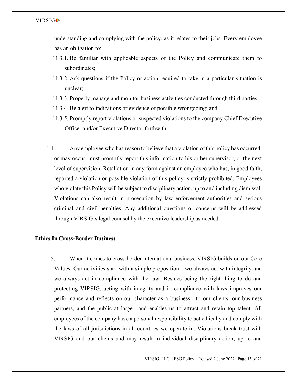understanding and complying with the policy, as it relates to their jobs. Every employee has an obligation to:

- 11.3.1. Be familiar with applicable aspects of the Policy and communicate them to subordinates;
- 11.3.2. Ask questions if the Policy or action required to take in a particular situation is unclear;
- 11.3.3. Properly manage and monitor business activities conducted through third parties;
- 11.3.4. Be alert to indications or evidence of possible wrongdoing; and
- 11.3.5. Promptly report violations or suspected violations to the company Chief Executive Officer and/or Executive Director forthwith.
- 11.4. Any employee who has reason to believe that a violation of this policy has occurred, or may occur, must promptly report this information to his or her supervisor, or the next level of supervision. Retaliation in any form against an employee who has, in good faith, reported a violation or possible violation of this policy is strictly prohibited. Employees who violate this Policy will be subject to disciplinary action, up to and including dismissal. Violations can also result in prosecution by law enforcement authorities and serious criminal and civil penalties. Any additional questions or concerns will be addressed through VIRSIG's legal counsel by the executive leadership as needed.

## **Ethics In Cross-Border Business**

11.5. When it comes to cross-border international business, VIRSIG builds on our Core Values. Our activities start with a simple proposition—we always act with integrity and we always act in compliance with the law. Besides being the right thing to do and protecting VIRSIG, acting with integrity and in compliance with laws improves our performance and reflects on our character as a business—to our clients, our business partners, and the public at large—and enables us to attract and retain top talent. All employees of the company have a personal responsibility to act ethically and comply with the laws of all jurisdictions in all countries we operate in. Violations break trust with VIRSIG and our clients and may result in individual disciplinary action, up to and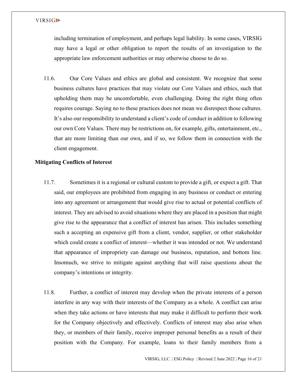including termination of employment, and perhaps legal liability. In some cases, VIRSIG may have a legal or other obligation to report the results of an investigation to the appropriate law enforcement authorities or may otherwise choose to do so.

11.6. Our Core Values and ethics are global and consistent. We recognize that some business cultures have practices that may violate our Core Values and ethics, such that upholding them may be uncomfortable, even challenging. Doing the right thing often requires courage. Saying no to these practices does not mean we disrespect those cultures. It's also our responsibility to understand a client's code of conduct in addition to following our own Core Values. There may be restrictions on, for example, gifts, entertainment, etc., that are more limiting than our own, and if so, we follow them in connection with the client engagement.

## **Mitigating Conflicts of Interest**

- 11.7. Sometimes it is a regional or cultural custom to provide a gift, or expect a gift. That said, our employees are prohibited from engaging in any business or conduct or entering into any agreement or arrangement that would give rise to actual or potential conflicts of interest. They are advised to avoid situations where they are placed in a position that might give rise to the appearance that a conflict of interest has arisen. This includes something such a accepting an expensive gift from a client, vendor, supplier, or other stakeholder which could create a conflict of interest—whether it was intended or not. We understand that appearance of impropriety can damage our business, reputation, and bottom line. Insomuch, we strive to mitigate against anything that will raise questions about the company's intentions or integrity.
- 11.8. Further, a conflict of interest may develop when the private interests of a person interfere in any way with their interests of the Company as a whole. A conflict can arise when they take actions or have interests that may make it difficult to perform their work for the Company objectively and effectively. Conflicts of interest may also arise when they, or members of their family, receive improper personal benefits as a result of their position with the Company. For example, loans to their family members from a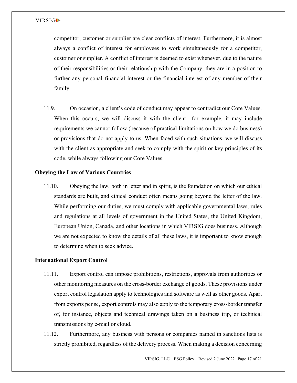competitor, customer or supplier are clear conflicts of interest. Furthermore, it is almost always a conflict of interest for employees to work simultaneously for a competitor, customer or supplier. A conflict of interest is deemed to exist whenever, due to the nature of their responsibilities or their relationship with the Company, they are in a position to further any personal financial interest or the financial interest of any member of their family.

11.9. On occasion, a client's code of conduct may appear to contradict our Core Values. When this occurs, we will discuss it with the client—for example, it may include requirements we cannot follow (because of practical limitations on how we do business) or provisions that do not apply to us. When faced with such situations, we will discuss with the client as appropriate and seek to comply with the spirit or key principles of its code, while always following our Core Values.

## **Obeying the Law of Various Countries**

11.10. Obeying the law, both in letter and in spirit, is the foundation on which our ethical standards are built, and ethical conduct often means going beyond the letter of the law. While performing our duties, we must comply with applicable governmental laws, rules and regulations at all levels of government in the United States, the United Kingdom, European Union, Canada, and other locations in which VIRSIG does business. Although we are not expected to know the details of all these laws, it is important to know enough to determine when to seek advice.

## **International Export Control**

- 11.11. Export control can impose prohibitions, restrictions, approvals from authorities or other monitoring measures on the cross-border exchange of goods. These provisions under export control legislation apply to technologies and software as well as other goods. Apart from exports per se, export controls may also apply to the temporary cross-border transfer of, for instance, objects and technical drawings taken on a business trip, or technical transmissions by e-mail or cloud.
- 11.12. Furthermore, any business with persons or companies named in sanctions lists is strictly prohibited, regardless of the delivery process. When making a decision concerning

VIRSIG, LLC. | ESG Policy | Revised 2 June 2022 | Page 17 of 21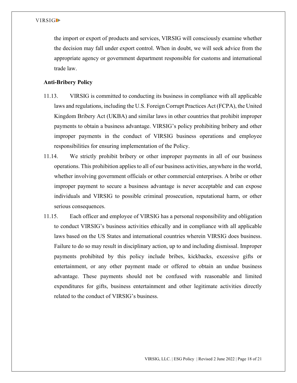the import or export of products and services, VIRSIG will consciously examine whether the decision may fall under export control. When in doubt, we will seek advice from the appropriate agency or government department responsible for customs and international trade law.

## **Anti-Bribery Policy**

- 11.13. VIRSIG is committed to conducting its business in compliance with all applicable laws and regulations, including the U.S. Foreign Corrupt Practices Act (FCPA), the United Kingdom Bribery Act (UKBA) and similar laws in other countries that prohibit improper payments to obtain a business advantage. VIRSIG's policy prohibiting bribery and other improper payments in the conduct of VIRSIG business operations and employee responsibilities for ensuring implementation of the Policy.
- 11.14. We strictly prohibit bribery or other improper payments in all of our business operations. This prohibition applies to all of our business activities, anywhere in the world, whether involving government officials or other commercial enterprises. A bribe or other improper payment to secure a business advantage is never acceptable and can expose individuals and VIRSIG to possible criminal prosecution, reputational harm, or other serious consequences.
- 11.15. Each officer and employee of VIRSIG has a personal responsibility and obligation to conduct VIRSIG's business activities ethically and in compliance with all applicable laws based on the US States and international countries wherein VIRSIG does business. Failure to do so may result in disciplinary action, up to and including dismissal. Improper payments prohibited by this policy include bribes, kickbacks, excessive gifts or entertainment, or any other payment made or offered to obtain an undue business advantage. These payments should not be confused with reasonable and limited expenditures for gifts, business entertainment and other legitimate activities directly related to the conduct of VIRSIG's business.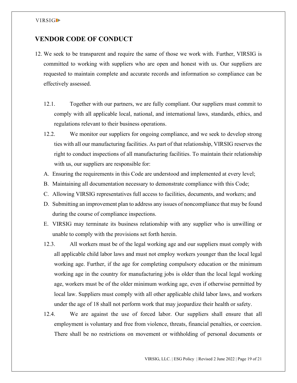## **VENDOR CODE OF CONDUCT**

- 12. We seek to be transparent and require the same of those we work with. Further, VIRSIG is committed to working with suppliers who are open and honest with us. Our suppliers are requested to maintain complete and accurate records and information so compliance can be effectively assessed.
	- 12.1. Together with our partners, we are fully compliant. Our suppliers must commit to comply with all applicable local, national, and international laws, standards, ethics, and regulations relevant to their business operations.
	- 12.2. We monitor our suppliers for ongoing compliance, and we seek to develop strong ties with all our manufacturing facilities. As part of that relationship, VIRSIG reserves the right to conduct inspections of all manufacturing facilities. To maintain their relationship with us, our suppliers are responsible for:
	- A. Ensuring the requirements in this Code are understood and implemented at every level;
	- B. Maintaining all documentation necessary to demonstrate compliance with this Code;
	- C. Allowing VIRSIG representatives full access to facilities, documents, and workers; and
	- D. Submitting an improvement plan to address any issues of noncompliance that may be found during the course of compliance inspections.
	- E. VIRSIG may terminate its business relationship with any supplier who is unwilling or unable to comply with the provisions set forth herein.
	- 12.3. All workers must be of the legal working age and our suppliers must comply with all applicable child labor laws and must not employ workers younger than the local legal working age. Further, if the age for completing compulsory education or the minimum working age in the country for manufacturing jobs is older than the local legal working age, workers must be of the older minimum working age, even if otherwise permitted by local law. Suppliers must comply with all other applicable child labor laws, and workers under the age of 18 shall not perform work that may jeopardize their health or safety.
	- 12.4. We are against the use of forced labor. Our suppliers shall ensure that all employment is voluntary and free from violence, threats, financial penalties, or coercion. There shall be no restrictions on movement or withholding of personal documents or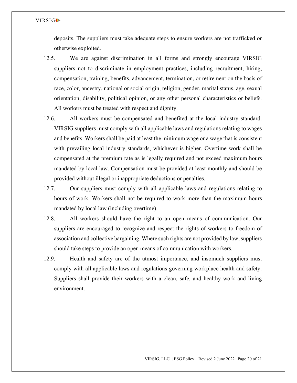deposits. The suppliers must take adequate steps to ensure workers are not trafficked or otherwise exploited.

- 12.5. We are against discrimination in all forms and strongly encourage VIRSIG suppliers not to discriminate in employment practices, including recruitment, hiring, compensation, training, benefits, advancement, termination, or retirement on the basis of race, color, ancestry, national or social origin, religion, gender, marital status, age, sexual orientation, disability, political opinion, or any other personal characteristics or beliefs. All workers must be treated with respect and dignity.
- 12.6. All workers must be compensated and benefited at the local industry standard. VIRSIG suppliers must comply with all applicable laws and regulations relating to wages and benefits. Workers shall be paid at least the minimum wage or a wage that is consistent with prevailing local industry standards, whichever is higher. Overtime work shall be compensated at the premium rate as is legally required and not exceed maximum hours mandated by local law. Compensation must be provided at least monthly and should be provided without illegal or inappropriate deductions or penalties.
- 12.7. Our suppliers must comply with all applicable laws and regulations relating to hours of work. Workers shall not be required to work more than the maximum hours mandated by local law (including overtime).
- 12.8. All workers should have the right to an open means of communication. Our suppliers are encouraged to recognize and respect the rights of workers to freedom of association and collective bargaining. Where such rights are not provided by law, suppliers should take steps to provide an open means of communication with workers.
- 12.9. Health and safety are of the utmost importance, and insomuch suppliers must comply with all applicable laws and regulations governing workplace health and safety. Suppliers shall provide their workers with a clean, safe, and healthy work and living environment.